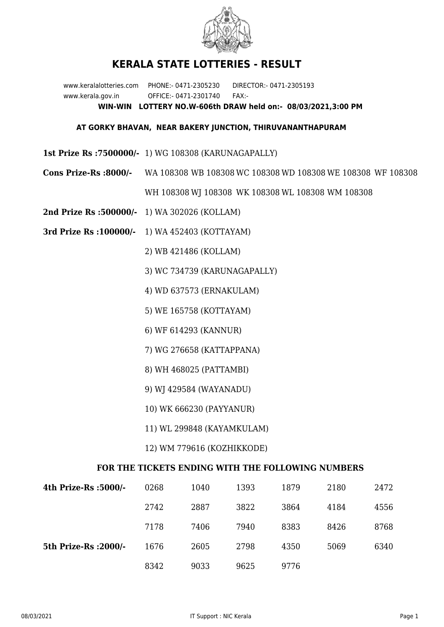

## **KERALA STATE LOTTERIES - RESULT**

www.keralalotteries.com PHONE:- 0471-2305230 DIRECTOR:- 0471-2305193 www.kerala.gov.in OFFICE:- 0471-2301740 FAX:- **WIN-WIN LOTTERY NO.W-606th DRAW held on:- 08/03/2021,3:00 PM**

## **AT GORKY BHAVAN, NEAR BAKERY JUNCTION, THIRUVANANTHAPURAM**

- **1st Prize Rs :7500000/-** 1) WG 108308 (KARUNAGAPALLY)
- **Cons Prize-Rs :8000/-** WA 108308 WB 108308 WC 108308 WD 108308 WE 108308 WF 108308 WH 108308 WJ 108308 WK 108308 WL 108308 WM 108308
- **2nd Prize Rs :500000/-** 1) WA 302026 (KOLLAM)
- **3rd Prize Rs :100000/-** 1) WA 452403 (KOTTAYAM)

2) WB 421486 (KOLLAM)

- 3) WC 734739 (KARUNAGAPALLY)
- 4) WD 637573 (ERNAKULAM)
- 5) WE 165758 (KOTTAYAM)
- 6) WF 614293 (KANNUR)
- 7) WG 276658 (KATTAPPANA)
- 8) WH 468025 (PATTAMBI)
- 9) WJ 429584 (WAYANADU)
- 10) WK 666230 (PAYYANUR)
- 11) WL 299848 (KAYAMKULAM)
- 12) WM 779616 (KOZHIKKODE)

## **FOR THE TICKETS ENDING WITH THE FOLLOWING NUMBERS**

| 4th Prize-Rs :5000/-  | 0268 | 1040 | 1393 | 1879 | 2180 | 2472 |
|-----------------------|------|------|------|------|------|------|
|                       | 2742 | 2887 | 3822 | 3864 | 4184 | 4556 |
|                       | 7178 | 7406 | 7940 | 8383 | 8426 | 8768 |
| 5th Prize-Rs : 2000/- | 1676 | 2605 | 2798 | 4350 | 5069 | 6340 |
|                       | 8342 | 9033 | 9625 | 9776 |      |      |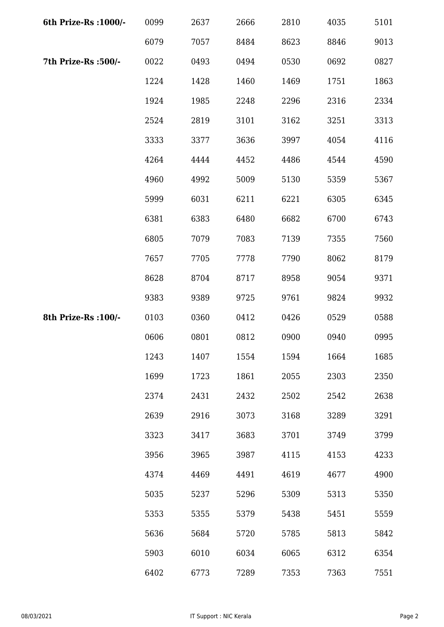| 6th Prize-Rs : 1000/- | 0099 | 2637 | 2666 | 2810 | 4035 | 5101 |
|-----------------------|------|------|------|------|------|------|
|                       | 6079 | 7057 | 8484 | 8623 | 8846 | 9013 |
| 7th Prize-Rs :500/-   | 0022 | 0493 | 0494 | 0530 | 0692 | 0827 |
|                       | 1224 | 1428 | 1460 | 1469 | 1751 | 1863 |
|                       | 1924 | 1985 | 2248 | 2296 | 2316 | 2334 |
|                       | 2524 | 2819 | 3101 | 3162 | 3251 | 3313 |
|                       | 3333 | 3377 | 3636 | 3997 | 4054 | 4116 |
|                       | 4264 | 4444 | 4452 | 4486 | 4544 | 4590 |
|                       | 4960 | 4992 | 5009 | 5130 | 5359 | 5367 |
|                       | 5999 | 6031 | 6211 | 6221 | 6305 | 6345 |
|                       | 6381 | 6383 | 6480 | 6682 | 6700 | 6743 |
|                       | 6805 | 7079 | 7083 | 7139 | 7355 | 7560 |
|                       | 7657 | 7705 | 7778 | 7790 | 8062 | 8179 |
|                       | 8628 | 8704 | 8717 | 8958 | 9054 | 9371 |
|                       | 9383 | 9389 | 9725 | 9761 | 9824 | 9932 |
| 8th Prize-Rs : 100/-  | 0103 | 0360 | 0412 | 0426 | 0529 | 0588 |
|                       | 0606 | 0801 | 0812 | 0900 | 0940 | 0995 |
|                       | 1243 | 1407 | 1554 | 1594 | 1664 | 1685 |
|                       | 1699 | 1723 | 1861 | 2055 | 2303 | 2350 |
|                       | 2374 | 2431 | 2432 | 2502 | 2542 | 2638 |
|                       | 2639 | 2916 | 3073 | 3168 | 3289 | 3291 |
|                       | 3323 | 3417 | 3683 | 3701 | 3749 | 3799 |
|                       | 3956 | 3965 | 3987 | 4115 | 4153 | 4233 |
|                       | 4374 | 4469 | 4491 | 4619 | 4677 | 4900 |
|                       | 5035 | 5237 | 5296 | 5309 | 5313 | 5350 |
|                       | 5353 | 5355 | 5379 | 5438 | 5451 | 5559 |
|                       | 5636 | 5684 | 5720 | 5785 | 5813 | 5842 |
|                       | 5903 | 6010 | 6034 | 6065 | 6312 | 6354 |
|                       | 6402 | 6773 | 7289 | 7353 | 7363 | 7551 |